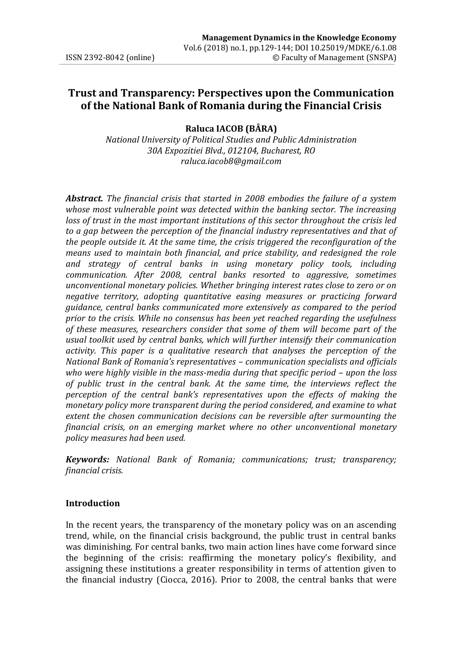# **Trust and Transparency: Perspectives upon the Communication of the National Bank of Romania during the Financial Crisis**

# **Raluca IACOB (BÂRA)**

*National University of Political Studies and Public Administration 30A Expozitiei Blvd., 012104, Bucharest, RO raluca.iacob8@gmail.com* 

*Abstract. The financial crisis that started in 2008 embodies the failure of a system whose most vulnerable point was detected within the banking sector. The increasing loss of trust in the most important institutions of this sector throughout the crisis led to a gap between the perception of the financial industry representatives and that of the people outside it. At the same time, the crisis triggered the reconfiguration of the means used to maintain both financial, and price stability, and redesigned the role and strategy of central banks in using monetary policy tools, including communication. After 2008, central banks resorted to aggressive, sometimes unconventional monetary policies. Whether bringing interest rates close to zero or on negative territory, adopting quantitative easing measures or practicing forward guidance, central banks communicated more extensively as compared to the period prior to the crisis. While no consensus has been yet reached regarding the usefulness of these measures, researchers consider that some of them will become part of the usual toolkit used by central banks, which will further intensify their communication activity. This paper is a qualitative research that analyses the perception of the National Bank of Romania's representatives – communication specialists and officials who were highly visible in the mass-media during that specific period – upon the loss of public trust in the central bank. At the same time, the interviews reflect the perception of the central bank's representatives upon the effects of making the monetary policy more transparent during the period considered, and examine to what extent the chosen communication decisions can be reversible after surmounting the financial crisis, on an emerging market where no other unconventional monetary policy measures had been used.* 

*Keywords: National Bank of Romania; communications; trust; transparency; financial crisis.*

# **Introduction**

In the recent years, the transparency of the monetary policy was on an ascending trend, while, on the financial crisis background, the public trust in central banks was diminishing. For central banks, two main action lines have come forward since the beginning of the crisis: reaffirming the monetary policy's flexibility, and assigning these institutions a greater responsibility in terms of attention given to the financial industry (Ciocca, 2016). Prior to 2008, the central banks that were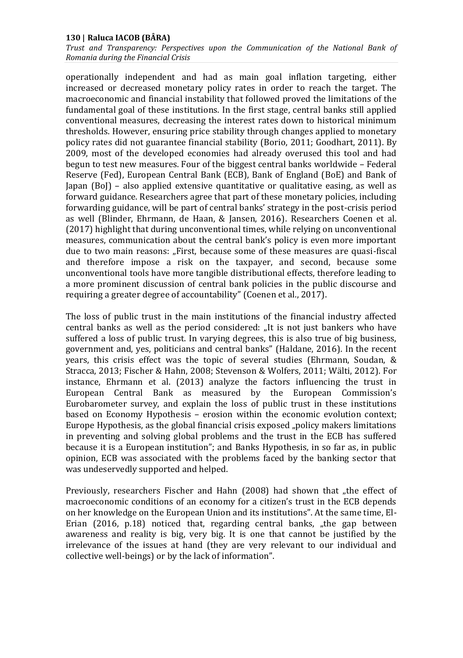*Trust and Transparency: Perspectives upon the Communication of the National Bank of Romania during the Financial Crisis* 

operationally independent and had as main goal inflation targeting, either increased or decreased monetary policy rates in order to reach the target. The macroeconomic and financial instability that followed proved the limitations of the fundamental goal of these institutions. In the first stage, central banks still applied conventional measures, decreasing the interest rates down to historical minimum thresholds. However, ensuring price stability through changes applied to monetary policy rates did not guarantee financial stability (Borio, 2011; Goodhart, 2011). By 2009, most of the developed economies had already overused this tool and had begun to test new measures. Four of the biggest central banks worldwide – Federal Reserve (Fed), European Central Bank (ECB), Bank of England (BoE) and Bank of Japan (BoJ) – also applied extensive quantitative or qualitative easing, as well as forward guidance. Researchers agree that part of these monetary policies, including forwarding guidance, will be part of central banks' strategy in the post-crisis period as well (Blinder, Ehrmann, de Haan, & Jansen, 2016). Researchers Coenen et al. (2017) highlight that during unconventional times, while relying on unconventional measures, communication about the central bank's policy is even more important due to two main reasons: "First, because some of these measures are quasi‐fiscal and therefore impose a risk on the taxpayer, and second, because some unconventional tools have more tangible distributional effects, therefore leading to a more prominent discussion of central bank policies in the public discourse and requiring a greater degree of accountability" (Coenen et al., 2017).

The loss of public trust in the main institutions of the financial industry affected central banks as well as the period considered: "It is not just bankers who have suffered a loss of public trust. In varying degrees, this is also true of big business, government and, yes, politicians and central banks" (Haldane, 2016). In the recent years, this crisis effect was the topic of several studies (Ehrmann, Soudan, & Stracca, 2013; Fischer & Hahn, 2008; Stevenson & Wolfers, 2011; Wälti, 2012). For instance, Ehrmann et al. (2013) analyze the factors influencing the trust in European Central Bank as measured by the European Commission's Eurobarometer survey, and explain the loss of public trust in these institutions based on Economy Hypothesis – erosion within the economic evolution context; Europe Hypothesis, as the global financial crisis exposed "policy makers limitations in preventing and solving global problems and the trust in the ECB has suffered because it is a European institution"; and Banks Hypothesis, in so far as, in public opinion, ECB was associated with the problems faced by the banking sector that was undeservedly supported and helped.

Previously, researchers Fischer and Hahn (2008) had shown that "the effect of macroeconomic conditions of an economy for a citizen's trust in the ECB depends on her knowledge on the European Union and its institutions". At the same time, El-Erian  $(2016, p.18)$  noticed that, regarding central banks, "the gap between awareness and reality is big, very big. It is one that cannot be justified by the irrelevance of the issues at hand (they are very relevant to our individual and collective well-beings) or by the lack of information".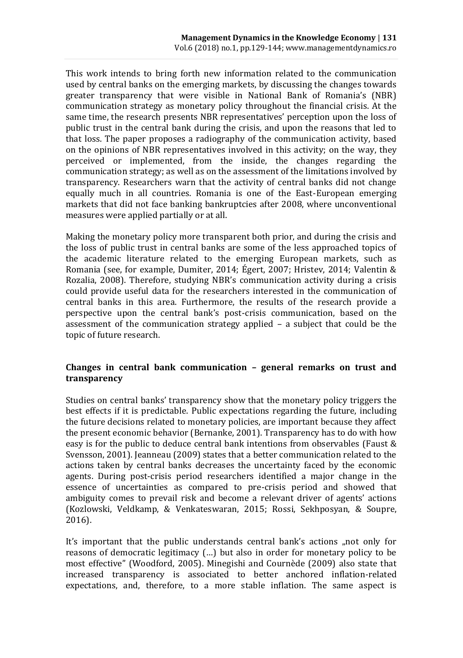This work intends to bring forth new information related to the communication used by central banks on the emerging markets, by discussing the changes towards greater transparency that were visible in National Bank of Romania's (NBR) communication strategy as monetary policy throughout the financial crisis. At the same time, the research presents NBR representatives' perception upon the loss of public trust in the central bank during the crisis, and upon the reasons that led to that loss. The paper proposes a radiography of the communication activity, based on the opinions of NBR representatives involved in this activity; on the way, they perceived or implemented, from the inside, the changes regarding the communication strategy; as well as on the assessment of the limitations involved by transparency. Researchers warn that the activity of central banks did not change equally much in all countries. Romania is one of the East-European emerging markets that did not face banking bankruptcies after 2008, where unconventional measures were applied partially or at all.

Making the monetary policy more transparent both prior, and during the crisis and the loss of public trust in central banks are some of the less approached topics of the academic literature related to the emerging European markets, such as Romania (see, for example, Dumiter, 2014; Égert, 2007; Hristev, 2014; Valentin & Rozalia, 2008). Therefore, studying NBR's communication activity during a crisis could provide useful data for the researchers interested in the communication of central banks in this area. Furthermore, the results of the research provide a perspective upon the central bank's post-crisis communication, based on the assessment of the communication strategy applied – a subject that could be the topic of future research.

# **Changes in central bank communication – general remarks on trust and transparency**

Studies on central banks' transparency show that the monetary policy triggers the best effects if it is predictable. Public expectations regarding the future, including the future decisions related to monetary policies, are important because they affect the present economic behavior (Bernanke, 2001). Transparency has to do with how easy is for the public to deduce central bank intentions from observables (Faust & Svensson, 2001). Jeanneau (2009) states that a better communication related to the actions taken by central banks decreases the uncertainty faced by the economic agents. During post-crisis period researchers identified a major change in the essence of uncertainties as compared to pre-crisis period and showed that ambiguity comes to prevail risk and become a relevant driver of agents' actions (Kozlowski, Veldkamp, & Venkateswaran, 2015; Rossi, Sekhposyan, & Soupre, 2016).

It's important that the public understands central bank's actions "not only for reasons of democratic legitimacy (…) but also in order for monetary policy to be most effective" (Woodford, 2005). Minegishi and Cournède (2009) also state that increased transparency is associated to better anchored inflation-related expectations, and, therefore, to a more stable inflation. The same aspect is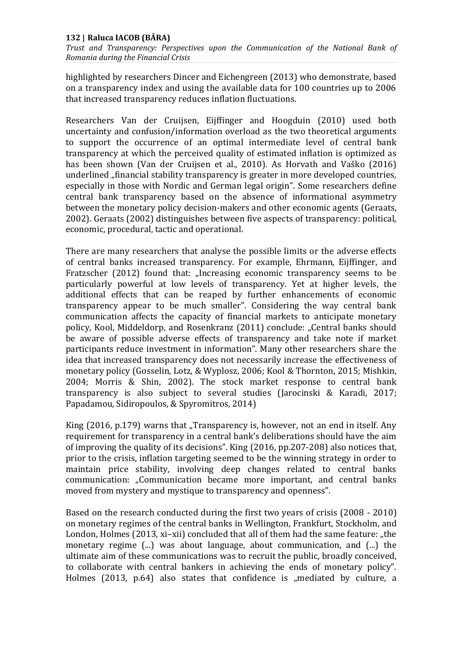*Trust and Transparency: Perspectives upon the Communication of the National Bank of Romania during the Financial Crisis* 

highlighted by researchers Dincer and Eichengreen (2013) who demonstrate, based on a transparency index and using the available data for 100 countries up to 2006 that increased transparency reduces inflation fluctuations.

Researchers Van der Cruijsen, Eijffinger and Hoogduin (2010) used both uncertainty and confusion/information overload as the two theoretical arguments to support the occurrence of an optimal intermediate level of central bank transparency at which the perceived quality of estimated inflation is optimized as has been shown (Van der Cruijsen et al., 2010). As Horvath and Vaško (2016) underlined "financial stability transparency is greater in more developed countries, especially in those with Nordic and German legal origin". Some researchers define central bank transparency based on the absence of informational asymmetry between the monetary policy decision-makers and other economic agents (Geraats, 2002). Geraats (2002) distinguishes between five aspects of transparency: political, economic, procedural, tactic and operational.

There are many researchers that analyse the possible limits or the adverse effects of central banks increased transparency. For example, Ehrmann, Eijffinger, and Fratzscher (2012) found that: "Increasing economic transparency seems to be particularly powerful at low levels of transparency. Yet at higher levels, the additional effects that can be reaped by further enhancements of economic transparency appear to be much smaller". Considering the way central bank communication affects the capacity of financial markets to anticipate monetary policy, Kool, Middeldorp, and Rosenkranz (2011) conclude: "Central banks should be aware of possible adverse effects of transparency and take note if market participants reduce investment in information". Many other researchers share the idea that increased transparency does not necessarily increase the effectiveness of monetary policy (Gosselin, Lotz, & Wyplosz, 2006; Kool & Thornton, 2015; Mishkin, 2004; Morris & Shin, 2002). The stock market response to central bank transparency is also subject to several studies (Jarocinski & Karadi, 2017; Papadamou, Sidiropoulos, & Spyromitros, 2014)

King (2016, p.179) warns that "Transparency is, however, not an end in itself. Any requirement for transparency in a central bank's deliberations should have the aim of improving the quality of its decisions". King (2016, pp.207-208) also notices that, prior to the crisis, inflation targeting seemed to be the winning strategy in order to maintain price stability, involving deep changes related to central banks communication: "Communication became more important, and central banks moved from mystery and mystique to transparency and openness".

Based on the research conducted during the first two years of crisis (2008 - 2010) on monetary regimes of the central banks in Wellington, Frankfurt, Stockholm, and London, Holmes (2013, xi-xii) concluded that all of them had the same feature: "the monetary regime (...) was about language, about communication, and (...) the ultimate aim of these communications was to recruit the public, broadly conceived, to collaborate with central bankers in achieving the ends of monetary policy". Holmes (2013, p.64) also states that confidence is "mediated by culture, a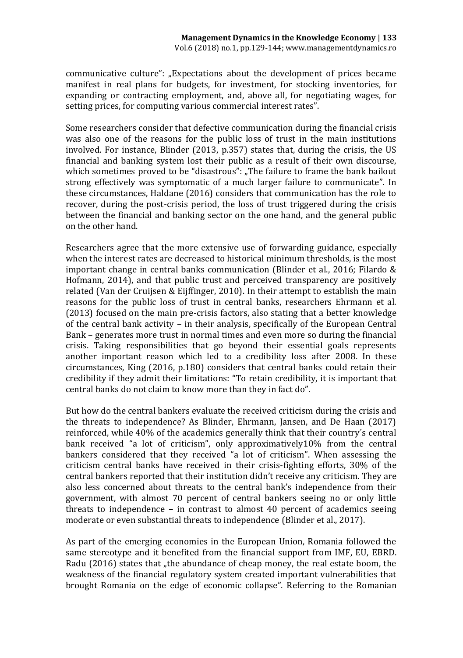communicative culture": "Expectations about the development of prices became manifest in real plans for budgets, for investment, for stocking inventories, for expanding or contracting employment, and, above all, for negotiating wages, for setting prices, for computing various commercial interest rates".

Some researchers consider that defective communication during the financial crisis was also one of the reasons for the public loss of trust in the main institutions involved. For instance, Blinder (2013, p.357) states that, during the crisis, the US financial and banking system lost their public as a result of their own discourse, which sometimes proved to be "disastrous": "The failure to frame the bank bailout strong effectively was symptomatic of a much larger failure to communicate". In these circumstances, Haldane (2016) considers that communication has the role to recover, during the post-crisis period, the loss of trust triggered during the crisis between the financial and banking sector on the one hand, and the general public on the other hand.

Researchers agree that the more extensive use of forwarding guidance, especially when the interest rates are decreased to historical minimum thresholds, is the most important change in central banks communication (Blinder et al., 2016; Filardo & Hofmann, 2014), and that public trust and perceived transparency are positively related (Van der Cruijsen & Eijffinger, 2010). In their attempt to establish the main reasons for the public loss of trust in central banks, researchers Ehrmann et al. (2013) focused on the main pre-crisis factors, also stating that a better knowledge of the central bank activity – in their analysis, specifically of the European Central Bank – generates more trust in normal times and even more so during the financial crisis. Taking responsibilities that go beyond their essential goals represents another important reason which led to a credibility loss after 2008. In these circumstances, King (2016, p.180) considers that central banks could retain their credibility if they admit their limitations: "To retain credibility, it is important that central banks do not claim to know more than they in fact do".

But how do the central bankers evaluate the received criticism during the crisis and the threats to independence? As Blinder, Ehrmann, Jansen, and De Haan (2017) reinforced, while 40% of the academics generally think that their country´s central bank received "a lot of criticism", only approximatively10% from the central bankers considered that they received "a lot of criticism". When assessing the criticism central banks have received in their crisis-fighting efforts, 30% of the central bankers reported that their institution didn't receive any criticism. They are also less concerned about threats to the central bank's independence from their government, with almost 70 percent of central bankers seeing no or only little threats to independence – in contrast to almost 40 percent of academics seeing moderate or even substantial threats to independence (Blinder et al., 2017).

As part of the emerging economies in the European Union, Romania followed the same stereotype and it benefited from the financial support from IMF, EU, EBRD. Radu (2016) states that "the abundance of cheap money, the real estate boom, the weakness of the financial regulatory system created important vulnerabilities that brought Romania on the edge of economic collapse". Referring to the Romanian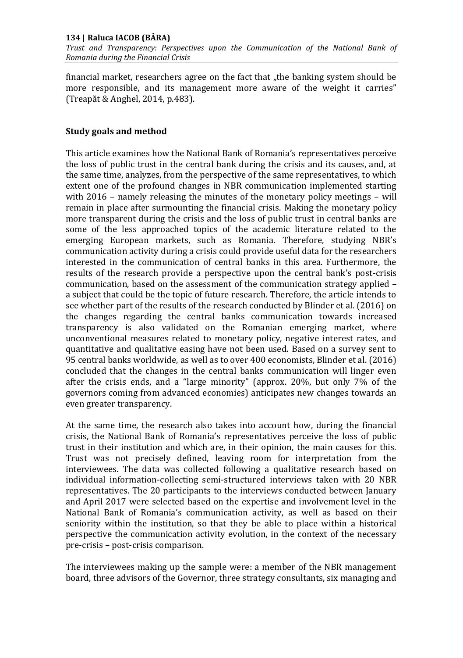*Trust and Transparency: Perspectives upon the Communication of the National Bank of Romania during the Financial Crisis* 

financial market, researchers agree on the fact that "the banking system should be more responsible, and its management more aware of the weight it carries" (Treapăt & Anghel, 2014, p.483).

### **Study goals and method**

This article examines how the National Bank of Romania's representatives perceive the loss of public trust in the central bank during the crisis and its causes, and, at the same time, analyzes, from the perspective of the same representatives, to which extent one of the profound changes in NBR communication implemented starting with 2016 – namely releasing the minutes of the monetary policy meetings – will remain in place after surmounting the financial crisis. Making the monetary policy more transparent during the crisis and the loss of public trust in central banks are some of the less approached topics of the academic literature related to the emerging European markets, such as Romania. Therefore, studying NBR's communication activity during a crisis could provide useful data for the researchers interested in the communication of central banks in this area. Furthermore, the results of the research provide a perspective upon the central bank's post-crisis communication, based on the assessment of the communication strategy applied – a subject that could be the topic of future research. Therefore, the article intends to see whether part of the results of the research conducted by Blinder et al. (2016) on the changes regarding the central banks communication towards increased transparency is also validated on the Romanian emerging market, where unconventional measures related to monetary policy, negative interest rates, and quantitative and qualitative easing have not been used. Based on a survey sent to 95 central banks worldwide, as well as to over 400 economists, Blinder et al. (2016) concluded that the changes in the central banks communication will linger even after the crisis ends, and a "large minority" (approx. 20%, but only 7% of the governors coming from advanced economies) anticipates new changes towards an even greater transparency.

At the same time, the research also takes into account how, during the financial crisis, the National Bank of Romania's representatives perceive the loss of public trust in their institution and which are, in their opinion, the main causes for this. Trust was not precisely defined, leaving room for interpretation from the interviewees. The data was collected following a qualitative research based on individual information-collecting semi-structured interviews taken with 20 NBR representatives. The 20 participants to the interviews conducted between January and April 2017 were selected based on the expertise and involvement level in the National Bank of Romania's communication activity, as well as based on their seniority within the institution, so that they be able to place within a historical perspective the communication activity evolution, in the context of the necessary pre-crisis – post-crisis comparison.

The interviewees making up the sample were: a member of the NBR management board, three advisors of the Governor, three strategy consultants, six managing and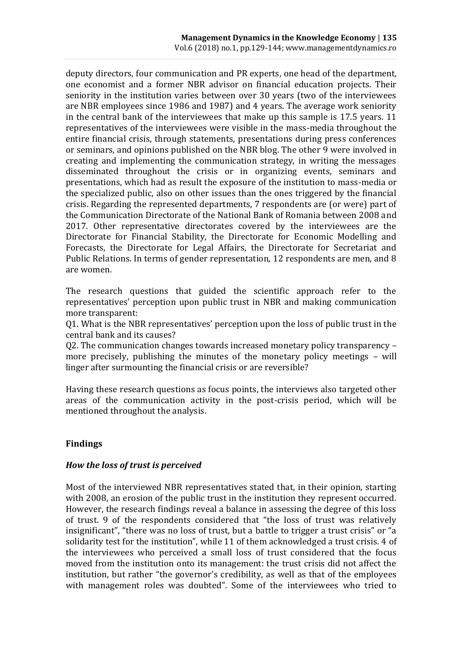deputy directors, four communication and PR experts, one head of the department, one economist and a former NBR advisor on financial education projects. Their seniority in the institution varies between over 30 years (two of the interviewees are NBR employees since 1986 and 1987) and 4 years. The average work seniority in the central bank of the interviewees that make up this sample is 17.5 years. 11 representatives of the interviewees were visible in the mass-media throughout the entire financial crisis, through statements, presentations during press conferences or seminars, and opinions published on the NBR blog. The other 9 were involved in creating and implementing the communication strategy, in writing the messages disseminated throughout the crisis or in organizing events, seminars and presentations, which had as result the exposure of the institution to mass-media or the specialized public, also on other issues than the ones triggered by the financial crisis. Regarding the represented departments, 7 respondents are (or were) part of the Communication Directorate of the National Bank of Romania between 2008 and 2017. Other representative directorates covered by the interviewees are the Directorate for Financial Stability, the Directorate for Economic Modelling and Forecasts, the Directorate for Legal Affairs, the Directorate for Secretariat and Public Relations. In terms of gender representation, 12 respondents are men, and 8 are women.

The research questions that guided the scientific approach refer to the representatives' perception upon public trust in NBR and making communication more transparent:

Q1. What is the NBR representatives' perception upon the loss of public trust in the central bank and its causes?

Q2. The communication changes towards increased monetary policy transparency – more precisely, publishing the minutes of the monetary policy meetings – will linger after surmounting the financial crisis or are reversible?

Having these research questions as focus points, the interviews also targeted other areas of the communication activity in the post-crisis period, which will be mentioned throughout the analysis.

# **Findings**

### *How the loss of trust is perceived*

Most of the interviewed NBR representatives stated that, in their opinion, starting with 2008, an erosion of the public trust in the institution they represent occurred. However, the research findings reveal a balance in assessing the degree of this loss of trust. 9 of the respondents considered that "the loss of trust was relatively insignificant", "there was no loss of trust, but a battle to trigger a trust crisis" or "a solidarity test for the institution", while 11 of them acknowledged a trust crisis. 4 of the interviewees who perceived a small loss of trust considered that the focus moved from the institution onto its management: the trust crisis did not affect the institution, but rather "the governor's credibility, as well as that of the employees with management roles was doubted". Some of the interviewees who tried to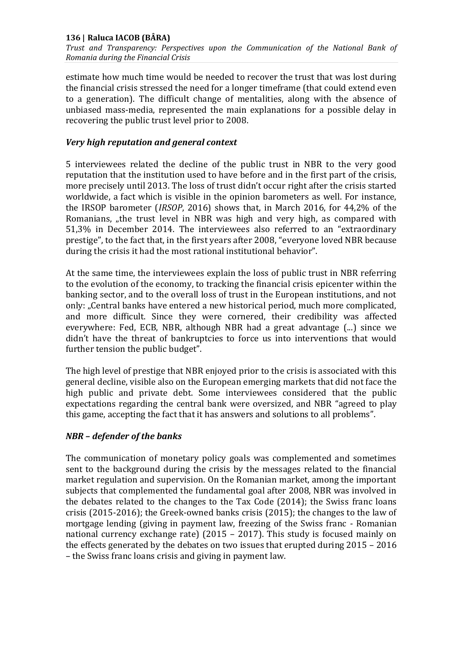*Trust and Transparency: Perspectives upon the Communication of the National Bank of Romania during the Financial Crisis* 

estimate how much time would be needed to recover the trust that was lost during the financial crisis stressed the need for a longer timeframe (that could extend even to a generation). The difficult change of mentalities, along with the absence of unbiased mass-media, represented the main explanations for a possible delay in recovering the public trust level prior to 2008.

### *Very high reputation and general context*

5 interviewees related the decline of the public trust in NBR to the very good reputation that the institution used to have before and in the first part of the crisis, more precisely until 2013. The loss of trust didn't occur right after the crisis started worldwide, a fact which is visible in the opinion barometers as well. For instance, the IRSOP barometer (*IRSOP*, 2016) shows that, in March 2016, for 44,2% of the Romanians, "the trust level in NBR was high and very high, as compared with 51,3% in December 2014. The interviewees also referred to an "extraordinary prestige", to the fact that, in the first years after 2008, "everyone loved NBR because during the crisis it had the most rational institutional behavior".

At the same time, the interviewees explain the loss of public trust in NBR referring to the evolution of the economy, to tracking the financial crisis epicenter within the banking sector, and to the overall loss of trust in the European institutions, and not only: "Central banks have entered a new historical period, much more complicated, and more difficult. Since they were cornered, their credibility was affected everywhere: Fed, ECB, NBR, although NBR had a great advantage (...) since we didn't have the threat of bankruptcies to force us into interventions that would further tension the public budget".

The high level of prestige that NBR enjoyed prior to the crisis is associated with this general decline, visible also on the European emerging markets that did not face the high public and private debt. Some interviewees considered that the public expectations regarding the central bank were oversized, and NBR "agreed to play this game, accepting the fact that it has answers and solutions to all problems".

# *NBR – defender of the banks*

The communication of monetary policy goals was complemented and sometimes sent to the background during the crisis by the messages related to the financial market regulation and supervision. On the Romanian market, among the important subjects that complemented the fundamental goal after 2008, NBR was involved in the debates related to the changes to the Tax Code (2014); the Swiss franc loans crisis (2015-2016); the Greek-owned banks crisis (2015); the changes to the law of mortgage lending (giving in payment law, freezing of the Swiss franc - Romanian national currency exchange rate) (2015 – 2017). This study is focused mainly on the effects generated by the debates on two issues that erupted during 2015 – 2016 – the Swiss franc loans crisis and giving in payment law.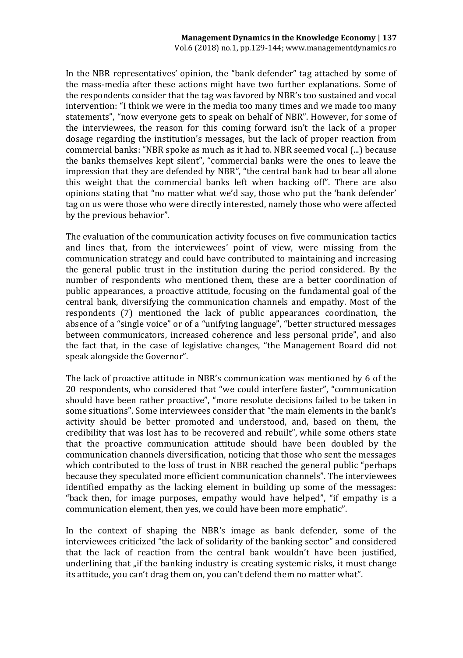In the NBR representatives' opinion, the "bank defender" tag attached by some of the mass-media after these actions might have two further explanations. Some of the respondents consider that the tag was favored by NBR's too sustained and vocal intervention: "I think we were in the media too many times and we made too many statements", "now everyone gets to speak on behalf of NBR". However, for some of the interviewees, the reason for this coming forward isn't the lack of a proper dosage regarding the institution's messages, but the lack of proper reaction from commercial banks: "NBR spoke as much as it had to. NBR seemed vocal (...) because the banks themselves kept silent", "commercial banks were the ones to leave the impression that they are defended by NBR", "the central bank had to bear all alone this weight that the commercial banks left when backing off". There are also opinions stating that "no matter what we'd say, those who put the 'bank defender' tag on us were those who were directly interested, namely those who were affected by the previous behavior".

The evaluation of the communication activity focuses on five communication tactics and lines that, from the interviewees' point of view, were missing from the communication strategy and could have contributed to maintaining and increasing the general public trust in the institution during the period considered. By the number of respondents who mentioned them, these are a better coordination of public appearances, a proactive attitude, focusing on the fundamental goal of the central bank, diversifying the communication channels and empathy. Most of the respondents (7) mentioned the lack of public appearances coordination, the absence of a "single voice" or of a "unifying language", "better structured messages between communicators, increased coherence and less personal pride", and also the fact that, in the case of legislative changes, "the Management Board did not speak alongside the Governor".

The lack of proactive attitude in NBR's communication was mentioned by 6 of the 20 respondents, who considered that "we could interfere faster", "communication should have been rather proactive", "more resolute decisions failed to be taken in some situations". Some interviewees consider that "the main elements in the bank's activity should be better promoted and understood, and, based on them, the credibility that was lost has to be recovered and rebuilt", while some others state that the proactive communication attitude should have been doubled by the communication channels diversification, noticing that those who sent the messages which contributed to the loss of trust in NBR reached the general public "perhaps because they speculated more efficient communication channels". The interviewees identified empathy as the lacking element in building up some of the messages: "back then, for image purposes, empathy would have helped", "if empathy is a communication element, then yes, we could have been more emphatic".

In the context of shaping the NBR's image as bank defender, some of the interviewees criticized "the lack of solidarity of the banking sector" and considered that the lack of reaction from the central bank wouldn't have been justified, underlining that "if the banking industry is creating systemic risks, it must change its attitude, you can't drag them on, you can't defend them no matter what".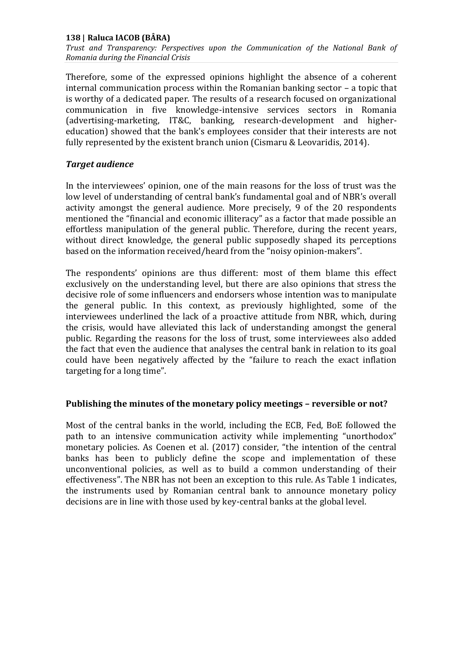*Trust and Transparency: Perspectives upon the Communication of the National Bank of Romania during the Financial Crisis* 

Therefore, some of the expressed opinions highlight the absence of a coherent internal communication process within the Romanian banking sector – a topic that is worthy of a dedicated paper. The results of a research focused on organizational communication in five knowledge-intensive services sectors in Romania (advertising-marketing, IT&C, banking, research-development and highereducation) showed that the bank's employees consider that their interests are not fully represented by the existent branch union (Cismaru & Leovaridis, 2014).

### *Target audience*

In the interviewees' opinion, one of the main reasons for the loss of trust was the low level of understanding of central bank's fundamental goal and of NBR's overall activity amongst the general audience. More precisely, 9 of the 20 respondents mentioned the "financial and economic illiteracy" as a factor that made possible an effortless manipulation of the general public. Therefore, during the recent years, without direct knowledge, the general public supposedly shaped its perceptions based on the information received/heard from the "noisy opinion-makers".

The respondents' opinions are thus different: most of them blame this effect exclusively on the understanding level, but there are also opinions that stress the decisive role of some influencers and endorsers whose intention was to manipulate the general public. In this context, as previously highlighted, some of the interviewees underlined the lack of a proactive attitude from NBR, which, during the crisis, would have alleviated this lack of understanding amongst the general public. Regarding the reasons for the loss of trust, some interviewees also added the fact that even the audience that analyses the central bank in relation to its goal could have been negatively affected by the "failure to reach the exact inflation targeting for a long time".

### **Publishing the minutes of the monetary policy meetings – reversible or not?**

Most of the central banks in the world, including the ECB, Fed, BoE followed the path to an intensive communication activity while implementing "unorthodox" monetary policies. As Coenen et al. (2017) consider, "the intention of the central banks has been to publicly define the scope and implementation of these unconventional policies, as well as to build a common understanding of their effectiveness". The NBR has not been an exception to this rule. As Table 1 indicates, the instruments used by Romanian central bank to announce monetary policy decisions are in line with those used by key-central banks at the global level.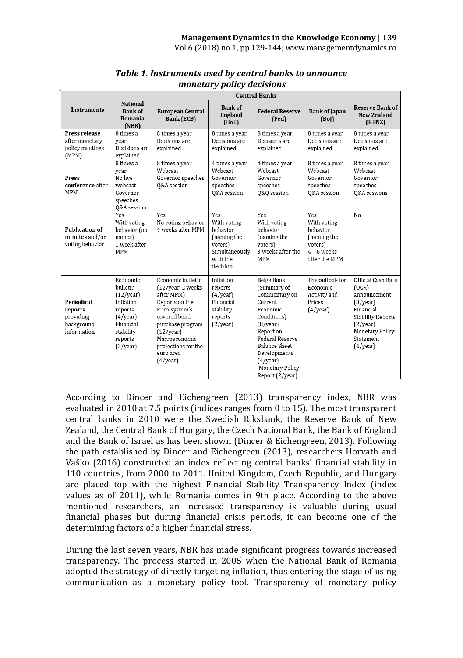|                                                                 | <b>Central Banks</b>                                                                                                   |                                                                                                                                                                                                           |                                                                                                    |                                                                                                                                                                                                                        |                                                                                            |                                                                                                                                                          |
|-----------------------------------------------------------------|------------------------------------------------------------------------------------------------------------------------|-----------------------------------------------------------------------------------------------------------------------------------------------------------------------------------------------------------|----------------------------------------------------------------------------------------------------|------------------------------------------------------------------------------------------------------------------------------------------------------------------------------------------------------------------------|--------------------------------------------------------------------------------------------|----------------------------------------------------------------------------------------------------------------------------------------------------------|
| <b>Instruments</b>                                              | <b>National</b><br><b>Bank of</b><br>Romania<br>(NBR)                                                                  | European Central<br>Bank (ECB)                                                                                                                                                                            | <b>Bank of</b><br>England<br>(BoE)                                                                 | <b>Federal Reserve</b><br>(Fed)                                                                                                                                                                                        | <b>Bank of Japan</b><br>(Bo)                                                               | <b>Reserve Bank of</b><br><b>New Zealand</b><br>(RBNZ)                                                                                                   |
| Press release<br>after monetarv<br>policy meetings<br>(MPM)     | 8 times a<br>vear<br>Decisions are<br>explained                                                                        | 8 times a year<br>Decisions are<br>explained                                                                                                                                                              | 8 times a year<br>Decisions are<br>explained                                                       | 8 times a year<br>Decisions are<br>explained                                                                                                                                                                           | 8 times a year<br>Decisions are<br>explained                                               | 8 times a year<br>Decisions are<br>explained                                                                                                             |
| Press<br>conference after<br><b>MPM</b>                         | 8 times a<br>vear<br>No live<br>webcast<br>Governor<br>speeches<br>Q&A session                                         | 8 times a year<br>Webcast<br>Governor speeches<br>0&A session                                                                                                                                             | 4 times a year<br>Webcast<br>Governor<br>speeches<br>Q&A session                                   | 4 times a year<br>Webcast<br>Governor<br>speeches<br>Q&Q session                                                                                                                                                       | 8 times a year<br>Webcast<br>Governor<br>speeches<br>Q&A session                           | 8 times a year<br>Webcast<br>Governor<br>speeches<br>Q&A sessions                                                                                        |
| <b>Publication of</b><br>minutes and/or<br>voting behavior      | Yes<br>With voting<br>behavior (no<br>names)<br>1 week after<br>MPM                                                    | Yes<br>No voting behavior<br>4 weeks after MPM                                                                                                                                                            | Yes<br>With voting<br>hehavior<br>(naming the<br>voters)<br>Simultaneously<br>with the<br>decision | Yes<br>With voting<br>behavior<br>(naming the<br>voters)<br>3 weeks after the<br><b>MPM</b>                                                                                                                            | Yes<br>With voting<br>behavior<br>(naming the<br>voters)<br>$4 - 6$ weeks<br>after the MPM | No                                                                                                                                                       |
| Periodical<br>reports<br>providing<br>background<br>information | Economic<br>bulletin<br>(12/year)<br>Inflation<br>reports<br>(4/year)<br>Financial<br>stability<br>reports<br>(2/year) | Economic bulletin<br>(12/year, 2 weeks<br>after MPM)<br>Reports on the<br>Euro-system's<br>covered bond<br>purchase program<br>(12/year)<br>Macroeconomic<br>projections for the<br>euro area<br>(4/year) | Inflation<br>reports<br>(4/year)<br>Financial<br>stability<br>reports<br>(2/year)                  | Beige Book<br>(Summary of<br>Commentary on<br>Current<br>Economic<br>Conditions)<br>(8/year)<br>Report on<br>Federal Reserve<br><b>Balance Sheet</b><br>Developments<br>(4/year)<br>Monetary Policy<br>Report (2/year) | The outlook for<br>Economic<br>Activity and<br>Prices<br>$(4$ /year)                       | Official Cash Rate<br>(OCR)<br>announcement<br>(8/year)<br>Financial<br><b>Stability Reports</b><br>(2/year)<br>Monetary Policy<br>Statement<br>(4/year) |

### *Table 1. Instruments used by central banks to announce monetary policy decisions*

According to Dincer and Eichengreen (2013) transparency index, NBR was evaluated in 2010 at 7.5 points (indices ranges from 0 to 15). The most transparent central banks in 2010 were the Swedish Riksbank, the Reserve Bank of New Zealand, the Central Bank of Hungary, the Czech National Bank, the Bank of England and the Bank of Israel as has been shown (Dincer & Eichengreen, 2013). Following the path established by Dincer and Eichengreen (2013), researchers Horvath and Vaško (2016) constructed an index reflecting central banks' financial stability in 110 countries, from 2000 to 2011. United Kingdom, Czech Republic, and Hungary are placed top with the highest Financial Stability Transparency Index (index values as of 2011), while Romania comes in 9th place. According to the above mentioned researchers, an increased transparency is valuable during usual financial phases but during financial crisis periods, it can become one of the determining factors of a higher financial stress.

During the last seven years, NBR has made significant progress towards increased transparency. The process started in 2005 when the National Bank of Romania adopted the strategy of directly targeting inflation, thus entering the stage of using communication as a monetary policy tool. Transparency of monetary policy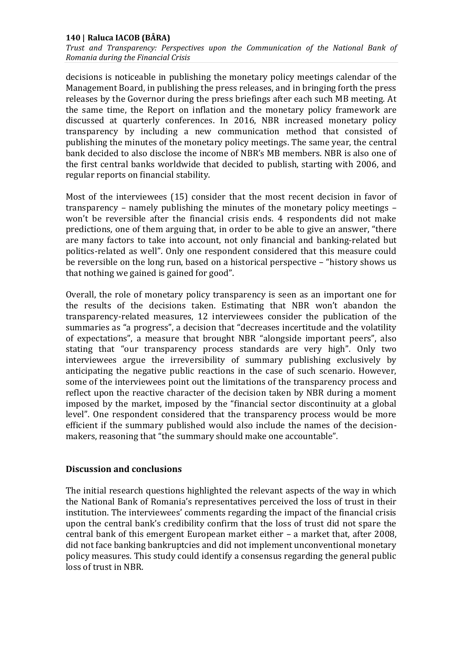*Trust and Transparency: Perspectives upon the Communication of the National Bank of Romania during the Financial Crisis* 

decisions is noticeable in publishing the monetary policy meetings calendar of the Management Board, in publishing the press releases, and in bringing forth the press releases by the Governor during the press briefings after each such MB meeting. At the same time, the Report on inflation and the monetary policy framework are discussed at quarterly conferences. In 2016, NBR increased monetary policy transparency by including a new communication method that consisted of publishing the minutes of the monetary policy meetings. The same year, the central bank decided to also disclose the income of NBR's MB members. NBR is also one of the first central banks worldwide that decided to publish, starting with 2006, and regular reports on financial stability.

Most of the interviewees (15) consider that the most recent decision in favor of transparency – namely publishing the minutes of the monetary policy meetings – won't be reversible after the financial crisis ends. 4 respondents did not make predictions, one of them arguing that, in order to be able to give an answer, "there are many factors to take into account, not only financial and banking-related but politics-related as well". Only one respondent considered that this measure could be reversible on the long run, based on a historical perspective – "history shows us that nothing we gained is gained for good".

Overall, the role of monetary policy transparency is seen as an important one for the results of the decisions taken. Estimating that NBR won't abandon the transparency-related measures, 12 interviewees consider the publication of the summaries as "a progress", a decision that "decreases incertitude and the volatility of expectations", a measure that brought NBR "alongside important peers", also stating that "our transparency process standards are very high". Only two interviewees argue the irreversibility of summary publishing exclusively by anticipating the negative public reactions in the case of such scenario. However, some of the interviewees point out the limitations of the transparency process and reflect upon the reactive character of the decision taken by NBR during a moment imposed by the market, imposed by the "financial sector discontinuity at a global level". One respondent considered that the transparency process would be more efficient if the summary published would also include the names of the decisionmakers, reasoning that "the summary should make one accountable".

### **Discussion and conclusions**

The initial research questions highlighted the relevant aspects of the way in which the National Bank of Romania's representatives perceived the loss of trust in their institution. The interviewees' comments regarding the impact of the financial crisis upon the central bank's credibility confirm that the loss of trust did not spare the central bank of this emergent European market either – a market that, after 2008, did not face banking bankruptcies and did not implement unconventional monetary policy measures. This study could identify a consensus regarding the general public loss of trust in NBR.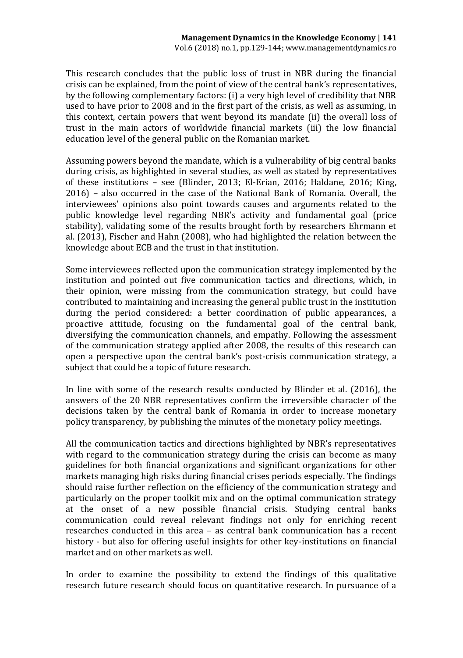This research concludes that the public loss of trust in NBR during the financial crisis can be explained, from the point of view of the central bank's representatives, by the following complementary factors: (i) a very high level of credibility that NBR used to have prior to 2008 and in the first part of the crisis, as well as assuming, in this context, certain powers that went beyond its mandate (ii) the overall loss of trust in the main actors of worldwide financial markets (iii) the low financial education level of the general public on the Romanian market.

Assuming powers beyond the mandate, which is a vulnerability of big central banks during crisis, as highlighted in several studies, as well as stated by representatives of these institutions – see (Blinder, 2013; El-Erian, 2016; Haldane, 2016; King, 2016) – also occurred in the case of the National Bank of Romania. Overall, the interviewees' opinions also point towards causes and arguments related to the public knowledge level regarding NBR's activity and fundamental goal (price stability), validating some of the results brought forth by researchers Ehrmann et al. (2013), Fischer and Hahn (2008), who had highlighted the relation between the knowledge about ECB and the trust in that institution.

Some interviewees reflected upon the communication strategy implemented by the institution and pointed out five communication tactics and directions, which, in their opinion, were missing from the communication strategy, but could have contributed to maintaining and increasing the general public trust in the institution during the period considered: a better coordination of public appearances, a proactive attitude, focusing on the fundamental goal of the central bank, diversifying the communication channels, and empathy. Following the assessment of the communication strategy applied after 2008, the results of this research can open a perspective upon the central bank's post-crisis communication strategy, a subject that could be a topic of future research.

In line with some of the research results conducted by Blinder et al. (2016), the answers of the 20 NBR representatives confirm the irreversible character of the decisions taken by the central bank of Romania in order to increase monetary policy transparency, by publishing the minutes of the monetary policy meetings.

All the communication tactics and directions highlighted by NBR's representatives with regard to the communication strategy during the crisis can become as many guidelines for both financial organizations and significant organizations for other markets managing high risks during financial crises periods especially. The findings should raise further reflection on the efficiency of the communication strategy and particularly on the proper toolkit mix and on the optimal communication strategy at the onset of a new possible financial crisis. Studying central banks communication could reveal relevant findings not only for enriching recent researches conducted in this area – as central bank communication has a recent history - but also for offering useful insights for other key-institutions on financial market and on other markets as well.

In order to examine the possibility to extend the findings of this qualitative research future research should focus on quantitative research. In pursuance of a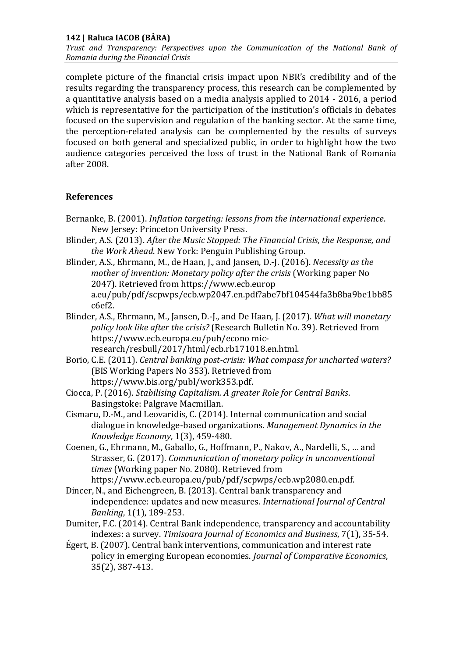*Trust and Transparency: Perspectives upon the Communication of the National Bank of Romania during the Financial Crisis* 

complete picture of the financial crisis impact upon NBR's credibility and of the results regarding the transparency process, this research can be complemented by a quantitative analysis based on a media analysis applied to 2014 - 2016, a period which is representative for the participation of the institution's officials in debates focused on the supervision and regulation of the banking sector. At the same time, the perception-related analysis can be complemented by the results of surveys focused on both general and specialized public, in order to highlight how the two audience categories perceived the loss of trust in the National Bank of Romania after 2008.

### **References**

- Bernanke, B. (2001). *Inflation targeting: lessons from the international experience*. New Jersey: Princeton University Press.
- Blinder, A.S. (2013). *After the Music Stopped: The Financial Crisis, the Response, and the Work Ahead*. New York: Penguin Publishing Group.
- Blinder, A.S., Ehrmann, M., de Haan, J., and Jansen, D.-J. (2016). *Necessity as the mother of invention: Monetary policy after the crisis* (Working paper No 2047). Retrieved from https://www.ecb.europ a.eu/pub/pdf/scpwps/ecb.wp2047.en.pdf?abe7bf104544fa3b8ba9be1bb85 c6ef2.
- Blinder, A.S., Ehrmann, M., Jansen, D.-J., and De Haan, J. (2017). *What will monetary policy look like after the crisis?* (Research Bulletin No. 39). Retrieved from https://www.ecb.europa.eu/pub/econo micresearch/resbull/2017/html/ecb.rb171018.en.html.
- Borio, C.E. (2011). *Central banking post-crisis: What compass for uncharted waters?* (BIS Working Papers No 353). Retrieved from https://www.bis.org/publ/work353.pdf.
- Ciocca, P. (2016). *Stabilising Capitalism. A greater Role for Central Banks*. Basingstoke: Palgrave Macmillan.
- Cismaru, D.-M., and Leovaridis, C. (2014). Internal communication and social dialogue in knowledge-based organizations. *Management Dynamics in the Knowledge Economy*, 1(3), 459-480.
- Coenen, G., Ehrmann, M., Gaballo, G., Hoffmann, P., Nakov, A., Nardelli, S., … and Strasser, G. (2017). *Communication of monetary policy in unconventional times* (Working paper No. 2080). Retrieved from https://www.ecb.europa.eu/pub/pdf/scpwps/ecb.wp2080.en.pdf.
- Dincer, N., and Eichengreen, B. (2013). Central bank transparency and independence: updates and new measures. *International Journal of Central Banking*, 1(1), 189-253.
- Dumiter, F.C. (2014). Central Bank independence, transparency and accountability indexes: a survey. *Timisoara Journal of Economics and Business*, 7(1), 35-54.
- Égert, B. (2007). Central bank interventions, communication and interest rate policy in emerging European economies. *Journal of Comparative Economics*, 35(2), 387-413.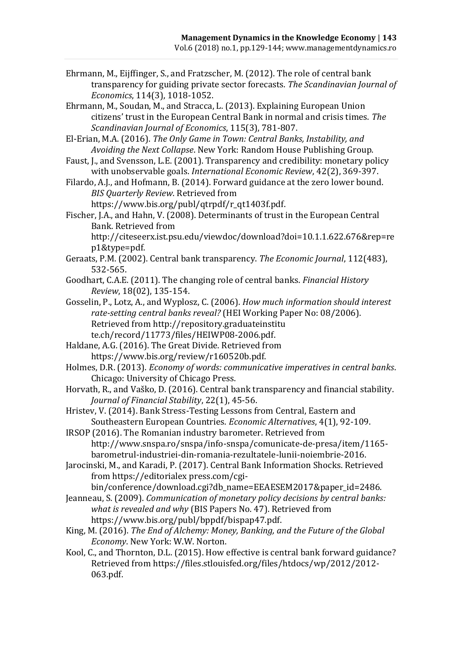Ehrmann, M., Eijffinger, S., and Fratzscher, M. (2012). The role of central bank transparency for guiding private sector forecasts. *The Scandinavian Journal of Economics*, 114(3), 1018-1052.

Ehrmann, M., Soudan, M., and Stracca, L. (2013). Explaining European Union citizens' trust in the European Central Bank in normal and crisis times. *The Scandinavian Journal of Economics*, 115(3), 781-807.

El-Erian, M.A. (2016). *The Only Game in Town: Central Banks, Instability, and Avoiding the Next Collapse*. New York: Random House Publishing Group.

Faust, J., and Svensson, L.E. (2001). Transparency and credibility: monetary policy with unobservable goals. *International Economic Review*, 42(2), 369-397.

Filardo, A.J., and Hofmann, B. (2014). Forward guidance at the zero lower bound. *BIS Quarterly Review*. Retrieved from

https://www.bis.org/publ/qtrpdf/r\_qt1403f.pdf.

Fischer, J.A., and Hahn, V. (2008). Determinants of trust in the European Central Bank. Retrieved from

http://citeseerx.ist.psu.edu/viewdoc/download?doi=10.1.1.622.676&rep=re p1&type=pdf.

Geraats, P.M. (2002). Central bank transparency. *The Economic Journal*, 112(483), 532-565.

Goodhart, C.A.E. (2011). The changing role of central banks. *Financial History Review*, 18(02), 135-154.

- Gosselin, P., Lotz, A., and Wyplosz, C. (2006). *How much information should interest rate-setting central banks reveal?* (HEI Working Paper No: 08/2006). Retrieved from http://repository.graduateinstitu te.ch/record/11773/files/HEIWP08-2006.pdf.
- Haldane, A.G. (2016). The Great Divide. Retrieved from https://www.bis.org/review/r160520b.pdf.

Holmes, D.R. (2013). *Economy of words: communicative imperatives in central banks*. Chicago: University of Chicago Press.

Horvath, R., and Vaško, D. (2016). Central bank transparency and financial stability. *Journal of Financial Stability*, 22(1), 45-56.

Hristev, V. (2014). Bank Stress-Testing Lessons from Central, Eastern and Southeastern European Countries. *Economic Alternatives*, 4(1), 92-109.

IRSOP (2016). The Romanian industry barometer. Retrieved from http://www.snspa.ro/snspa/info-snspa/comunicate-de-presa/item/1165 barometrul-industriei-din-romania-rezultatele-lunii-noiembrie-2016.

Jarocinski, M., and Karadi, P. (2017). Central Bank Information Shocks. Retrieved from https://editorialex press.com/cgi-

bin/conference/download.cgi?db\_name=EEAESEM2017&paper\_id=2486.

Jeanneau, S. (2009). *Communication of monetary policy decisions by central banks: what is revealed and why* (BIS Papers No. 47). Retrieved from https://www.bis.org/publ/bppdf/bispap47.pdf.

King, M. (2016). *The End of Alchemy: Money, Banking, and the Future of the Global Economy*. New York: W.W. Norton.

Kool, C., and Thornton, D.L. (2015). How effective is central bank forward guidance? Retrieved from https://files.stlouisfed.org/files/htdocs/wp/2012/2012- 063.pdf.